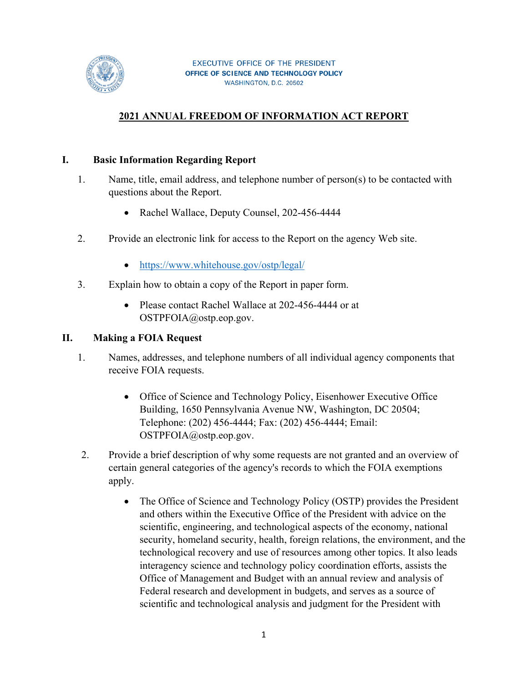

# **2021 ANNUAL FREEDOM OF INFORMATION ACT REPORT**

#### **I. Basic Information Regarding Report**

- 1. Name, title, email address, and telephone number of person(s) to be contacted with questions about the Report.
	- Rachel Wallace, Deputy Counsel, 202-456-4444
- 2. Provide an electronic link for access to the Report on the agency Web site.
	- https://www.whitehouse.gov/ostp/legal/
- 3. Explain how to obtain a copy of the Report in paper form.
	- Please contact Rachel Wallace at 202-456-4444 or at OSTPFOIA@ostp.eop.gov.

#### **II. Making a FOIA Request**

- 1. Names, addresses, and telephone numbers of all individual agency components that receive FOIA requests.
	- Office of Science and Technology Policy, Eisenhower Executive Office Building, 1650 Pennsylvania Avenue NW, Washington, DC 20504; Telephone: (202) 456-4444; Fax: (202) 456-4444; Email: OSTPFOIA@ostp.eop.gov.
- 2. Provide a brief description of why some requests are not granted and an overview of certain general categories of the agency's records to which the FOIA exemptions apply.
	- The Office of Science and Technology Policy (OSTP) provides the President and others within the Executive Office of the President with advice on the scientific, engineering, and technological aspects of the economy, national security, homeland security, health, foreign relations, the environment, and the technological recovery and use of resources among other topics. It also leads interagency science and technology policy coordination efforts, assists the Office of Management and Budget with an annual review and analysis of Federal research and development in budgets, and serves as a source of scientific and technological analysis and judgment for the President with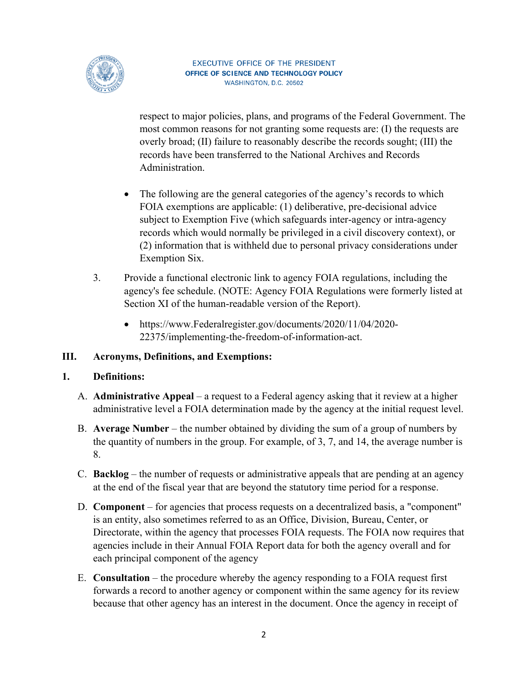

respect to major policies, plans, and programs of the Federal Government. The most common reasons for not granting some requests are: (I) the requests are overly broad; (II) failure to reasonably describe the records sought; (III) the records have been transferred to the National Archives and Records Administration.

- The following are the general categories of the agency's records to which FOIA exemptions are applicable: (1) deliberative, pre-decisional advice subject to Exemption Five (which safeguards inter-agency or intra-agency records which would normally be privileged in a civil discovery context), or (2) information that is withheld due to personal privacy considerations under Exemption Six.
- 3. Provide a functional electronic link to agency FOIA regulations, including the agency's fee schedule. (NOTE: Agency FOIA Regulations were formerly listed at Section XI of the human-readable version of the Report).
	- https://www.Federalregister.gov/documents/2020/11/04/2020- 22375/implementing-the-freedom-of-information-act.

#### **III. Acronyms, Definitions, and Exemptions:**

#### **1. Definitions:**

- A. **Administrative Appeal** a request to a Federal agency asking that it review at a higher administrative level a FOIA determination made by the agency at the initial request level.
- B. **Average Number** the number obtained by dividing the sum of a group of numbers by the quantity of numbers in the group. For example, of 3, 7, and 14, the average number is 8.
- C. **Backlog** the number of requests or administrative appeals that are pending at an agency at the end of the fiscal year that are beyond the statutory time period for a response.
- D. **Component** for agencies that process requests on a decentralized basis, a "component" is an entity, also sometimes referred to as an Office, Division, Bureau, Center, or Directorate, within the agency that processes FOIA requests. The FOIA now requires that agencies include in their Annual FOIA Report data for both the agency overall and for each principal component of the agency
- E. **Consultation** the procedure whereby the agency responding to a FOIA request first forwards a record to another agency or component within the same agency for its review because that other agency has an interest in the document. Once the agency in receipt of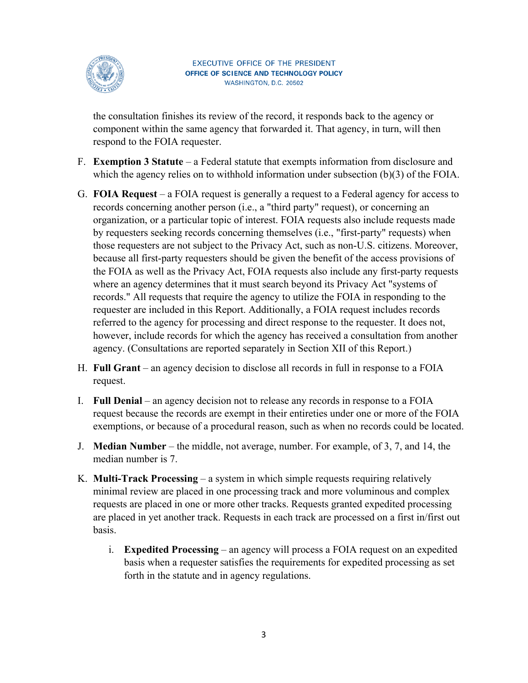

the consultation finishes its review of the record, it responds back to the agency or component within the same agency that forwarded it. That agency, in turn, will then respond to the FOIA requester.

- F. **Exemption 3 Statute** a Federal statute that exempts information from disclosure and which the agency relies on to withhold information under subsection (b)(3) of the FOIA.
- G. **FOIA Request** a FOIA request is generally a request to a Federal agency for access to records concerning another person (i.e., a "third party" request), or concerning an organization, or a particular topic of interest. FOIA requests also include requests made by requesters seeking records concerning themselves (i.e., "first-party" requests) when those requesters are not subject to the Privacy Act, such as non-U.S. citizens. Moreover, because all first-party requesters should be given the benefit of the access provisions of the FOIA as well as the Privacy Act, FOIA requests also include any first-party requests where an agency determines that it must search beyond its Privacy Act "systems of records." All requests that require the agency to utilize the FOIA in responding to the requester are included in this Report. Additionally, a FOIA request includes records referred to the agency for processing and direct response to the requester. It does not, however, include records for which the agency has received a consultation from another agency. (Consultations are reported separately in Section XII of this Report.)
- H. **Full Grant** an agency decision to disclose all records in full in response to a FOIA request.
- I. **Full Denial** an agency decision not to release any records in response to a FOIA request because the records are exempt in their entireties under one or more of the FOIA exemptions, or because of a procedural reason, such as when no records could be located.
- J. **Median Number** the middle, not average, number. For example, of 3, 7, and 14, the median number is 7.
- K. **Multi-Track Processing** a system in which simple requests requiring relatively minimal review are placed in one processing track and more voluminous and complex requests are placed in one or more other tracks. Requests granted expedited processing are placed in yet another track. Requests in each track are processed on a first in/first out basis.
	- i. **Expedited Processing** an agency will process a FOIA request on an expedited basis when a requester satisfies the requirements for expedited processing as set forth in the statute and in agency regulations.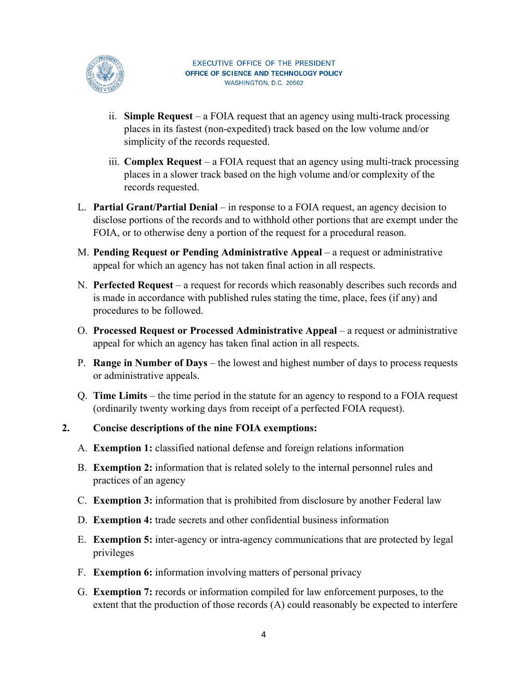

- ii. **Simple Request** a FOIA request that an agency using multi-track processing places in its fastest (non-expedited) track based on the low volume and/or simplicity of the records requested.
- iii. **Complex Request** a FOIA request that an agency using multi-track processing places in a slower track based on the high volume and/or complexity of the records requested.
- L. **Partial Grant/Partial Denial** in response to a FOIA request, an agency decision to disclose portions of the records and to withhold other portions that are exempt under the FOIA, or to otherwise deny a portion of the request for a procedural reason.
- M. **Pending Request or Pending Administrative Appeal** a request or administrative appeal for which an agency has not taken final action in all respects.
- N. **Perfected Request** a request for records which reasonably describes such records and is made in accordance with published rules stating the time, place, fees (if any) and procedures to be followed.
- O. **Processed Request or Processed Administrative Appeal** a request or administrative appeal for which an agency has taken final action in all respects.
- P. **Range in Number of Days** the lowest and highest number of days to process requests or administrative appeals.
- Q. **Time Limits** the time period in the statute for an agency to respond to a FOIA request (ordinarily twenty working days from receipt of a perfected FOIA request).

#### **2. Concise descriptions of the nine FOIA exemptions:**

- A. **Exemption 1:** classified national defense and foreign relations information
- B. **Exemption 2:** information that is related solely to the internal personnel rules and practices of an agency
- C. **Exemption 3:** information that is prohibited from disclosure by another Federal law
- D. **Exemption 4:** trade secrets and other confidential business information
- E. **Exemption 5:** inter-agency or intra-agency communications that are protected by legal privileges
- F. **Exemption 6:** information involving matters of personal privacy
- G. **Exemption 7:** records or information compiled for law enforcement purposes, to the extent that the production of those records (A) could reasonably be expected to interfere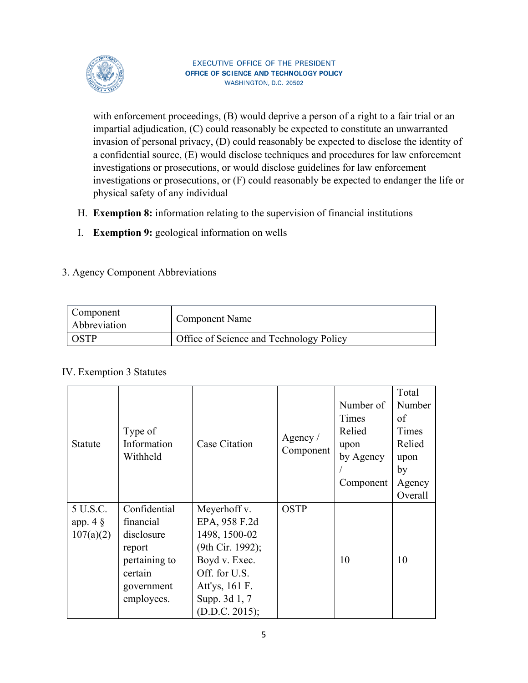

with enforcement proceedings, (B) would deprive a person of a right to a fair trial or an impartial adjudication, (C) could reasonably be expected to constitute an unwarranted invasion of personal privacy, (D) could reasonably be expected to disclose the identity of a confidential source, (E) would disclose techniques and procedures for law enforcement investigations or prosecutions, or would disclose guidelines for law enforcement investigations or prosecutions, or (F) could reasonably be expected to endanger the life or physical safety of any individual

- H. **Exemption 8:** information relating to the supervision of financial institutions
- I. **Exemption 9:** geological information on wells

#### 3. Agency Component Abbreviations

| Component<br>Abbreviation | <b>Component Name</b>                   |
|---------------------------|-----------------------------------------|
|                           | Office of Science and Technology Policy |

#### IV. Exemption 3 Statutes

|                |               |                      |                         |           | Total   |
|----------------|---------------|----------------------|-------------------------|-----------|---------|
|                |               |                      |                         | Number of | Number  |
|                |               |                      |                         | Times     | of      |
|                | Type of       |                      |                         | Relied    | Times   |
| <b>Statute</b> | Information   | <b>Case Citation</b> | Agency $/$<br>Component | upon      | Relied  |
|                | Withheld      |                      | by Agency               | upon      |         |
|                |               |                      |                         | by        |         |
|                |               |                      |                         | Component | Agency  |
|                |               |                      |                         |           | Overall |
| 5 U.S.C.       | Confidential  | Meyerhoff v.         | <b>OSTP</b>             |           |         |
| app. $4 \S$    | financial     | EPA, 958 F.2d        |                         |           |         |
| 107(a)(2)      | disclosure    | 1498, 1500-02        |                         |           |         |
|                | report        | (9th Cir. 1992);     |                         |           |         |
|                | pertaining to | Boyd v. Exec.        |                         | 10        | 10      |
|                | certain       | Off. for U.S.        |                         |           |         |
|                | government    | Att'ys, 161 F.       |                         |           |         |
|                | employees.    | Supp. 3d 1, 7        |                         |           |         |
|                |               | (D.D.C. 2015);       |                         |           |         |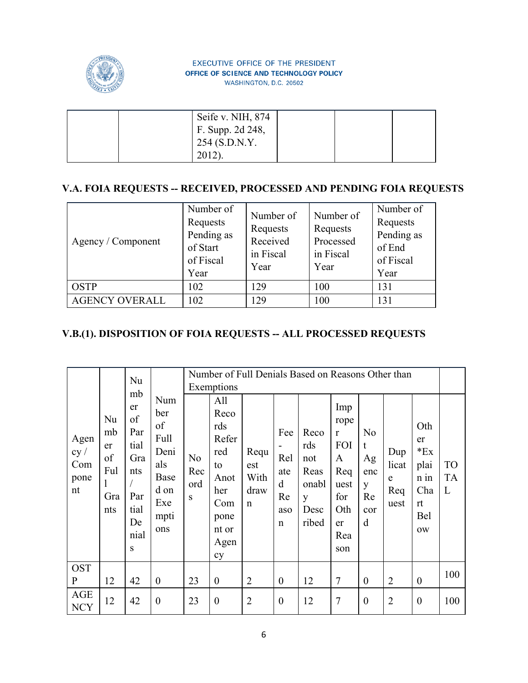

|  | Seife v. NIH, 874 |  |  |
|--|-------------------|--|--|
|  | F. Supp. 2d 248,  |  |  |
|  | $254$ (S.D.N.Y.   |  |  |
|  |                   |  |  |

### **V.A. FOIA REQUESTS -- RECEIVED, PROCESSED AND PENDING FOIA REQUESTS**

| Agency / Component    | Number of<br>Requests<br>Pending as<br>of Start<br>of Fiscal<br>Year | Number of<br>Requests<br>Received<br>in Fiscal<br>Year | Number of<br>Requests<br>Processed<br>in Fiscal<br>Year | Number of<br>Requests<br>Pending as<br>of End<br>of Fiscal<br>Year |
|-----------------------|----------------------------------------------------------------------|--------------------------------------------------------|---------------------------------------------------------|--------------------------------------------------------------------|
| <b>OSTP</b>           | 102                                                                  | 129                                                    | 100                                                     | 131                                                                |
| <b>AGENCY OVERALL</b> | 102                                                                  | 129                                                    | 100                                                     | 131                                                                |

# **V.B.(1). DISPOSITION OF FOIA REQUESTS -- ALL PROCESSED REQUESTS**

|                                   |                                           | Nu                                                                            |                                                                               |                       | Exemptions                                                                                    |                                            |                                                    | Number of Full Denials Based on Reasons Other than        |                                                                                                 |                                                         |                                  |                                                                             |                             |
|-----------------------------------|-------------------------------------------|-------------------------------------------------------------------------------|-------------------------------------------------------------------------------|-----------------------|-----------------------------------------------------------------------------------------------|--------------------------------------------|----------------------------------------------------|-----------------------------------------------------------|-------------------------------------------------------------------------------------------------|---------------------------------------------------------|----------------------------------|-----------------------------------------------------------------------------|-----------------------------|
| Agen<br>cy /<br>Com<br>pone<br>nt | Nu<br>mb<br>er<br>of<br>Ful<br>Gra<br>nts | mb<br>er<br>of<br>Par<br>tial<br>Gra<br>nts<br>Par<br>tial<br>De<br>nial<br>S | Num<br>ber<br>of<br>Full<br>Deni<br>als<br>Base<br>d on<br>Exe<br>mpti<br>ons | No<br>Rec<br>ord<br>S | All<br>Reco<br>rds<br>Refer<br>red<br>to<br>Anot<br>her<br>Com<br>pone<br>nt or<br>Agen<br>cy | Requ<br>est<br>With<br>draw<br>$\mathbf n$ | Fee<br>Rel<br>ate<br>d<br>Re<br>aso<br>$\mathbf n$ | Reco<br>rds<br>not<br>Reas<br>onabl<br>y<br>Desc<br>ribed | Imp<br>rope<br>$\mathbf{r}$<br><b>FOI</b><br>A<br>Req<br>uest<br>for<br>Oth<br>er<br>Rea<br>son | N <sub>o</sub><br>t<br>Ag<br>enc<br>y<br>Re<br>cor<br>d | Dup<br>licat<br>e<br>Req<br>uest | Oth<br>er<br>$E_{\rm X}$<br>plai<br>$n$ in<br>Cha<br>rt<br>Bel<br><b>OW</b> | <b>TO</b><br><b>TA</b><br>L |
| <b>OST</b><br>$\mathbf{P}$        | 12                                        | 42                                                                            | $\boldsymbol{0}$                                                              | 23                    | $\boldsymbol{0}$                                                                              | $\overline{2}$                             | $\boldsymbol{0}$                                   | 12                                                        | $\tau$                                                                                          | $\boldsymbol{0}$                                        | $\overline{2}$                   | $\boldsymbol{0}$                                                            | 100                         |
| <b>AGE</b><br><b>NCY</b>          | 12                                        | 42                                                                            | $\boldsymbol{0}$                                                              | 23                    | $\boldsymbol{0}$                                                                              | $\overline{2}$                             | $\boldsymbol{0}$                                   | 12                                                        | 7                                                                                               | $\boldsymbol{0}$                                        | $\overline{2}$                   | $\boldsymbol{0}$                                                            | 100                         |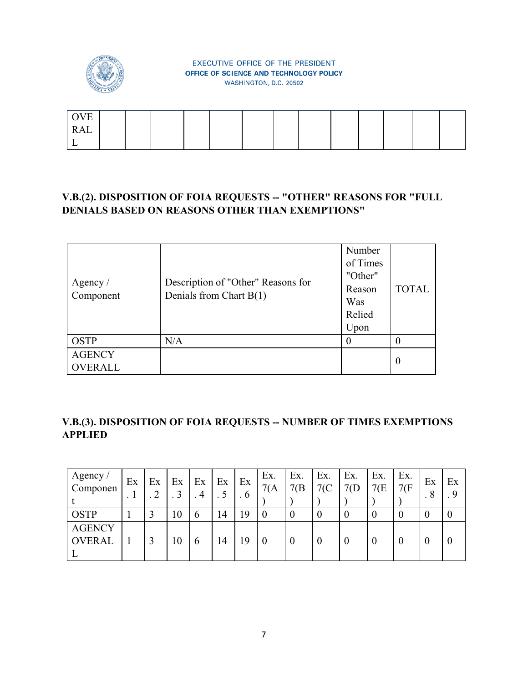

| T/T<br>Н<br>◡ |  |  |  |  |  |  |  |
|---------------|--|--|--|--|--|--|--|
| <b>RAL</b>    |  |  |  |  |  |  |  |
| ∸             |  |  |  |  |  |  |  |

### **V.B.(2). DISPOSITION OF FOIA REQUESTS -- "OTHER" REASONS FOR "FULL DENIALS BASED ON REASONS OTHER THAN EXEMPTIONS"**

| Agency /<br>Component    | Description of "Other" Reasons for<br>Denials from Chart B(1) | Number<br>of Times<br>"Other"<br>Reason<br>Was<br>Relied<br>Upon | <b>TOTAL</b> |
|--------------------------|---------------------------------------------------------------|------------------------------------------------------------------|--------------|
| <b>OSTP</b>              | N/A                                                           |                                                                  |              |
| <b>AGENCY</b><br>OVERALL |                                                               |                                                                  | $\theta$     |

### **V.B.(3). DISPOSITION OF FOIA REQUESTS -- NUMBER OF TIMES EXEMPTIONS APPLIED**

| Agency /<br>Componen           | Ex<br>. 1 | Ex<br>. . | Ex | Ex<br>$\overline{4}$ | Ex              | Ex<br>6 | Ex.<br>7(A) | Ex.<br>7(B) | Ex.      | Ex.      | Ex.<br>7(E) | Ex.<br>7(F) | Ex<br>8 | Ex |
|--------------------------------|-----------|-----------|----|----------------------|-----------------|---------|-------------|-------------|----------|----------|-------------|-------------|---------|----|
| <b>OSTP</b>                    |           |           | 10 | b                    | $\overline{14}$ | 19      |             | $\theta$    |          | $\Omega$ | $\theta$    |             |         |    |
| <b>AGENCY</b><br><b>OVERAL</b> |           |           | 10 | O                    | 14              | 19      |             | $\theta$    | $\theta$ | $\theta$ | $\bf{0}$    | 0           |         |    |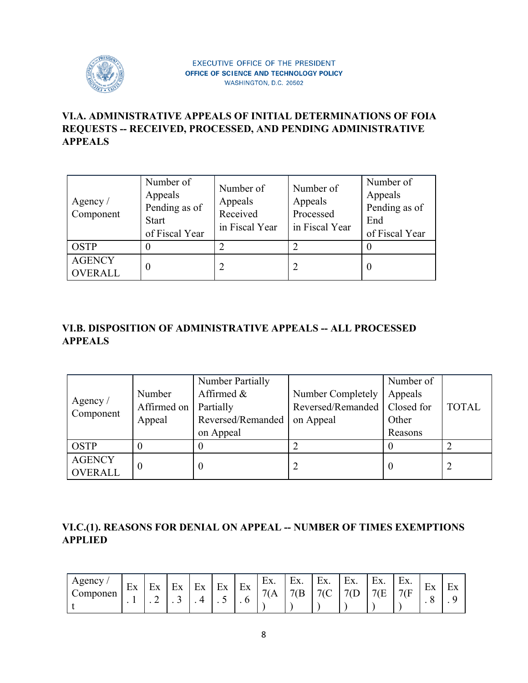

### **VI.A. ADMINISTRATIVE APPEALS OF INITIAL DETERMINATIONS OF FOIA REQUESTS -- RECEIVED, PROCESSED, AND PENDING ADMINISTRATIVE APPEALS**

| Agency /<br>Component           | Number of<br>Appeals<br>Pending as of<br><b>Start</b><br>of Fiscal Year | Number of<br>Appeals<br>Received<br>in Fiscal Year | Number of<br>Appeals<br>Processed<br>in Fiscal Year | Number of<br>Appeals<br>Pending as of<br>End<br>of Fiscal Year |
|---------------------------------|-------------------------------------------------------------------------|----------------------------------------------------|-----------------------------------------------------|----------------------------------------------------------------|
| <b>OSTP</b>                     |                                                                         |                                                    | ာ                                                   |                                                                |
| <b>AGENCY</b><br><b>OVERALL</b> | $\theta$                                                                |                                                    | $\overline{2}$                                      |                                                                |

# **VI.B. DISPOSITION OF ADMINISTRATIVE APPEALS -- ALL PROCESSED APPEALS**

|                       |             | Number Partially  |                                | Number of |              |
|-----------------------|-------------|-------------------|--------------------------------|-----------|--------------|
|                       | Number      | Affirmed &        | Number Completely              | Appeals   |              |
| Agency /<br>Component | Affirmed on | Partially         | Reversed/Remanded   Closed for |           | <b>TOTAL</b> |
|                       | Appeal      | Reversed/Remanded | on Appeal                      | Other     |              |
|                       |             | on Appeal         |                                | Reasons   |              |
| <b>OSTP</b>           |             |                   |                                |           |              |
| <b>AGENCY</b>         |             |                   |                                |           |              |
| OVERALL               |             |                   |                                |           |              |

### **VI.C.(1). REASONS FOR DENIAL ON APPEAL -- NUMBER OF TIMES EXEMPTIONS APPLIED**

| $\Omega$ genc $V$ | $\blacksquare$<br>Еx<br>$\mathbf{r}$ | $\blacksquare$<br>Нv<br>⊷<br>⌒<br>- | $\blacksquare$<br>⊷<br>∼<br>ັ | Ex | $F_{\mathbf{Y}}$<br>ப்<br>ັ | $\blacksquare$<br>ÈХ | $\blacksquare$<br>EX.<br>(A | $\blacksquare$<br>нv<br>۰ ۱/۸۰<br>$\overline{\phantom{0}}$<br>Έ | $\blacksquare$<br>н<br>ட∧. | $\blacksquare$<br>Нv<br>LΛ.<br>$\sqrt{ }$ | $\blacksquare$<br>l v<br>LΛ.<br>7(F) | $\blacksquare$<br>$H\mathbf{V}$<br>7(F)<br>. . | $\blacksquare$<br><b>EX</b><br>╭<br>ີ | $\overline{\phantom{0}}$<br>Нv<br>⊷ |
|-------------------|--------------------------------------|-------------------------------------|-------------------------------|----|-----------------------------|----------------------|-----------------------------|-----------------------------------------------------------------|----------------------------|-------------------------------------------|--------------------------------------|------------------------------------------------|---------------------------------------|-------------------------------------|
|-------------------|--------------------------------------|-------------------------------------|-------------------------------|----|-----------------------------|----------------------|-----------------------------|-----------------------------------------------------------------|----------------------------|-------------------------------------------|--------------------------------------|------------------------------------------------|---------------------------------------|-------------------------------------|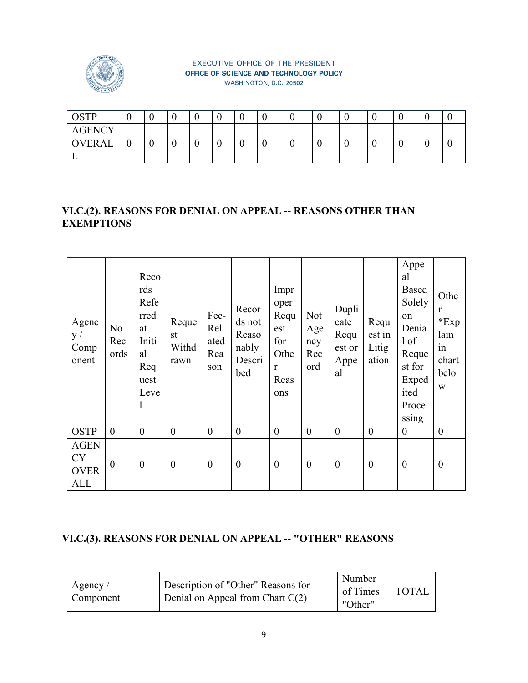

| OSTP          |   | $\Omega$<br>v | ⌒ |  |   |   |   |  |   |
|---------------|---|---------------|---|--|---|---|---|--|---|
| <b>AGENCY</b> |   |               |   |  |   |   |   |  |   |
| <b>OVERAL</b> | ν | v             | ν |  | ν | ν | ν |  | ν |
|               |   |               |   |  |   |   |   |  |   |

### **VI.C.(2). REASONS FOR DENIAL ON APPEAL -- REASONS OTHER THAN EXEMPTIONS**

| Agenc<br>y /<br>Comp<br>onent                         | N <sub>o</sub><br>Rec<br>ords | Reco<br>rds<br>Refe<br>rred<br>at<br>Initi<br>al<br>Req<br>uest<br>Leve<br>1 | Reque<br>st<br>Withd<br>rawn | Fee-<br>Rel<br>ated<br>Rea<br>son | Recor<br>ds not<br>Reaso<br>nably<br>Descri<br>bed | Impr<br>oper<br>Requ<br>est<br>for<br>Othe<br>$\mathbf{r}$<br>Reas<br>ons | <b>Not</b><br>Age<br>ncy<br>Rec<br>ord | Dupli<br>cate<br>Requ<br>est or<br>Appe<br>al | Requ<br>est in<br>Litig<br>ation | Appe<br>al<br>Based<br>Solely<br>on<br>Denia<br>1 of<br>Reque<br>st for<br>Exped<br>ited<br>Proce<br>ssing | Othe<br>r<br>Exp<br>lain<br>in<br>chart<br>belo<br>W |
|-------------------------------------------------------|-------------------------------|------------------------------------------------------------------------------|------------------------------|-----------------------------------|----------------------------------------------------|---------------------------------------------------------------------------|----------------------------------------|-----------------------------------------------|----------------------------------|------------------------------------------------------------------------------------------------------------|------------------------------------------------------|
| <b>OSTP</b>                                           | $\overline{0}$                | $\boldsymbol{0}$                                                             | $\boldsymbol{0}$             | $\theta$                          | $\boldsymbol{0}$                                   | $\boldsymbol{0}$                                                          | $\boldsymbol{0}$                       | $\overline{0}$                                | $\theta$                         | $\boldsymbol{0}$                                                                                           | $\boldsymbol{0}$                                     |
| <b>AGEN</b><br><b>CY</b><br><b>OVER</b><br><b>ALL</b> | $\boldsymbol{0}$              | $\boldsymbol{0}$                                                             | $\boldsymbol{0}$             | $\boldsymbol{0}$                  | $\boldsymbol{0}$                                   | $\boldsymbol{0}$                                                          | $\boldsymbol{0}$                       | $\boldsymbol{0}$                              | $\boldsymbol{0}$                 | $\boldsymbol{0}$                                                                                           | $\boldsymbol{0}$                                     |

# **VI.C.(3). REASONS FOR DENIAL ON APPEAL -- "OTHER" REASONS**

| $\sqrt{A}$ Agency / | Description of "Other" Reasons for | Number   | <sup>1</sup> TOTAL |
|---------------------|------------------------------------|----------|--------------------|
| Component           | Denial on Appeal from Chart $C(2)$ | of Times |                    |
|                     |                                    | "Other"  |                    |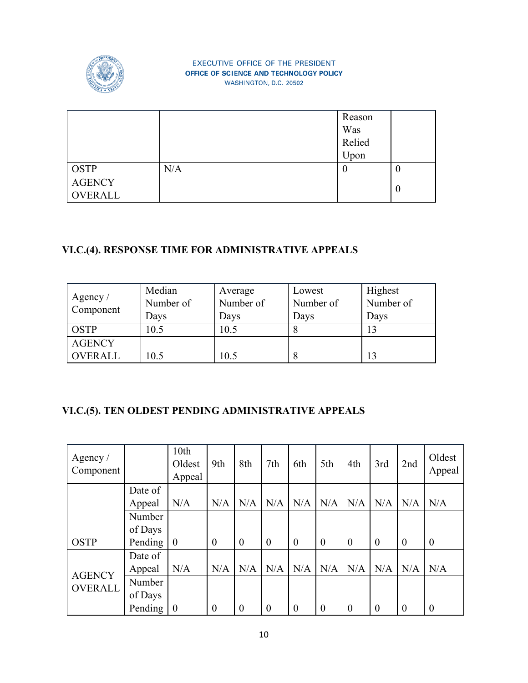

|                |     | Reason |   |
|----------------|-----|--------|---|
|                |     | Was    |   |
|                |     | Relied |   |
|                |     | Upon   |   |
| <b>OSTP</b>    | N/A | U      | U |
| <b>AGENCY</b>  |     |        |   |
| <b>OVERALL</b> |     |        | 0 |

# **VI.C.(4). RESPONSE TIME FOR ADMINISTRATIVE APPEALS**

| Agency /<br>Component | Median<br>Number of<br>Days | Average<br>Number of<br>Days | Lowest<br>Number of<br>Days | Highest<br>Number of<br>Days |
|-----------------------|-----------------------------|------------------------------|-----------------------------|------------------------------|
| <b>OSTP</b>           | 10.5                        | 10.5                         |                             | 13                           |
| <b>AGENCY</b>         |                             |                              |                             |                              |
| <b>OVERALL</b>        | 10.5                        | 10.5                         |                             | 13                           |

# **VI.C.(5). TEN OLDEST PENDING ADMINISTRATIVE APPEALS**

| Agency /<br>Component |         | 10th<br>Oldest<br>Appeal | 9th            | 8th      | 7th            | 6th            | 5th              | 4th              | 3rd              | 2nd              | Oldest<br>Appeal |
|-----------------------|---------|--------------------------|----------------|----------|----------------|----------------|------------------|------------------|------------------|------------------|------------------|
|                       | Date of |                          |                |          |                |                |                  |                  |                  |                  |                  |
|                       | Appeal  | N/A                      | N/A            | N/A      | N/A            | N/A            | N/A              | N/A              | N/A              | N/A              | N/A              |
|                       | Number  |                          |                |          |                |                |                  |                  |                  |                  |                  |
|                       | of Days |                          |                |          |                |                |                  |                  |                  |                  |                  |
| <b>OSTP</b>           | Pending | $\boldsymbol{0}$         | $\overline{0}$ | $\theta$ | $\overline{0}$ | $\overline{0}$ | $\boldsymbol{0}$ | $\boldsymbol{0}$ | $\boldsymbol{0}$ | $\boldsymbol{0}$ | $\boldsymbol{0}$ |
|                       | Date of |                          |                |          |                |                |                  |                  |                  |                  |                  |
| <b>AGENCY</b>         | Appeal  | N/A                      | N/A            | N/A      | N/A            | N/A            | N/A              | N/A              | N/A              | N/A              | N/A              |
| OVERALL               | Number  |                          |                |          |                |                |                  |                  |                  |                  |                  |
|                       | of Days |                          |                |          |                |                |                  |                  |                  |                  |                  |
|                       | Pending | $\theta$                 | $\overline{0}$ | $\theta$ | $\theta$       | $\theta$       | $\theta$         | $\overline{0}$   | $\overline{0}$   | $\theta$         | $\theta$         |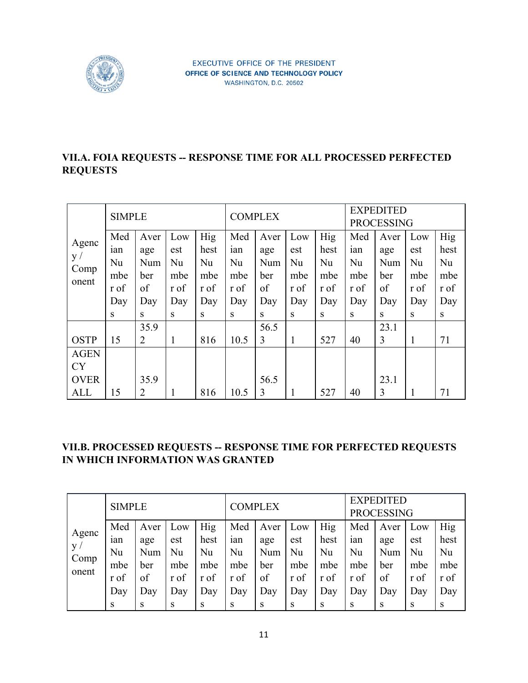

#### **VII.A. FOIA REQUESTS -- RESPONSE TIME FOR ALL PROCESSED PERFECTED REQUESTS**

|             | <b>SIMPLE</b> |                |      |      |      | <b>COMPLEX</b> |      |            |      | <b>EXPEDITED</b><br><b>PROCESSING</b> |      |            |
|-------------|---------------|----------------|------|------|------|----------------|------|------------|------|---------------------------------------|------|------------|
|             | Med           | Aver           | Low  | Hig  | Med  | Aver           | Low  | <b>Hig</b> | Med  | Aver                                  | Low  | <b>Hig</b> |
| Agenc       | 1an           | age            | est  | hest | ian  | age            | est  | hest       | ian  | age                                   | est  | hest       |
| y /         | Nu            | Num            | Nu   | Nu   | Nu   | Num            | Nu   | Nu         | Nu   | Num                                   | Nu   | Nu         |
| Comp        | mbe           | ber            | mbe  | mbe  | mbe  | ber            | mbe  | mbe        | mbe  | ber                                   | mbe  | mbe        |
| onent       | r of          | of             | r of | r of | r of | of             | r of | r of       | r of | of                                    | r of | r of       |
|             | Day           | Day            | Day  | Day  | Day  | Day            | Day  | Day        | Day  | Day                                   | Day  | Day        |
|             | S             | S.             | S    | S    | S    | S              | S    | S          | S    | S                                     | S    | S          |
|             |               | 35.9           |      |      |      | 56.5           |      |            |      | 23.1                                  |      |            |
| <b>OSTP</b> | 15            | 2              | 1    | 816  | 10.5 | 3              | 1    | 527        | 40   | 3                                     | 1    | 71         |
| <b>AGEN</b> |               |                |      |      |      |                |      |            |      |                                       |      |            |
| <b>CY</b>   |               |                |      |      |      |                |      |            |      |                                       |      |            |
| <b>OVER</b> |               | 35.9           |      |      |      | 56.5           |      |            |      | 23.1                                  |      |            |
| <b>ALL</b>  | 15            | $\overline{2}$ |      | 816  | 10.5 | 3              |      | 527        | 40   | 3                                     |      | 71         |

### **VII.B. PROCESSED REQUESTS -- RESPONSE TIME FOR PERFECTED REQUESTS IN WHICH INFORMATION WAS GRANTED**

|               | <b>SIMPLE</b> |      |              |      |      | <b>COMPLEX</b> |      |      |      | <b>EXPEDITED</b><br><b>PROCESSING</b> |      |      |
|---------------|---------------|------|--------------|------|------|----------------|------|------|------|---------------------------------------|------|------|
|               | Med           | Aver | Low          | Hig  | Med  | Aver           | Low  | Hig  | Med  | Aver                                  | Low  | Hig  |
| Agenc         | 1an           | age  | est          | hest | 1an  | age            | est  | hest | 1an  | age                                   | est  | hest |
| y/            | Nu            | Num  | Nu           | Nu   | Nu   | Num            | Nu   | Nu   | Nu   | Num                                   | Nu   | Nu   |
| Comp<br>onent | mbe           | ber  | mbe          | mbe  | mbe  | ber            | mbe  | mbe  | mbe  | ber                                   | mbe  | mbe  |
|               | r of          | of   | r of         | r of | r of | of             | r of | r of | r of | of                                    | r of | r of |
|               | Day           | Day  | Day          | Day  | Day  | Day            | Day  | Day  | Day  | Day                                   | Day  | Day  |
|               | S             | S    | <sup>S</sup> | S    | S    | S              | S    | S    | S    | S                                     | S    | S    |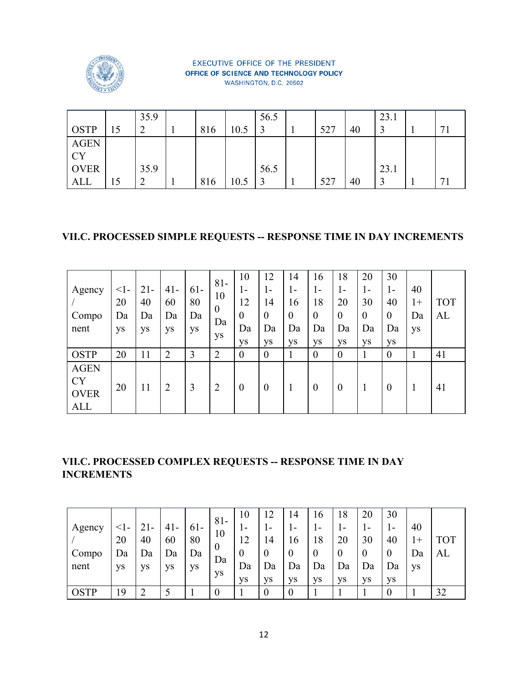

|             |    | 35.9 |     |      | 56.5 |     |    | 23.1 |                |
|-------------|----|------|-----|------|------|-----|----|------|----------------|
| <b>OSTP</b> | 15 | ∽    | 816 | 10.5 |      | 527 | 40 |      | $\overline{ }$ |
| <b>AGEN</b> |    |      |     |      |      |     |    |      |                |
| <b>CY</b>   |    |      |     |      |      |     |    |      |                |
| <b>OVER</b> |    | 35.9 |     |      | 56.5 |     |    | 23.1 |                |
| <b>ALL</b>  | 15 | ∠    | 816 | 10.5 |      | 527 | 40 |      | $\mathbf{r}$   |

### **VII.C. PROCESSED SIMPLE REQUESTS -- RESPONSE TIME IN DAY INCREMENTS**

| Agency<br>Compo<br>nent                               | $\leq$ 1-<br>20<br>Da<br>ys | $21 -$<br>40<br>Da<br>ys | $41 -$<br>60<br>Da<br>ys | $61-$<br>80<br>Da<br>ys | $81 -$<br>10<br>$\boldsymbol{0}$<br>Da<br>ys | 10<br>$1 -$<br>12<br>$\overline{0}$<br>Da<br>ys | 12<br>$\mathbf{I}$ –<br>14<br>$\overline{0}$<br>Da<br><b>ys</b> | 14<br>1-<br>16<br>$\boldsymbol{0}$<br>Da<br>ys | 16<br>ı –<br>18<br>$\theta$<br>Da<br>ys | 18<br>1-<br>20<br>$\boldsymbol{0}$<br>Da<br>ys | 20<br>1-<br>30<br>$\theta$<br>Da<br>ys | 30<br>$\mathbf{I}$ –<br>40<br>$\boldsymbol{0}$<br>Da<br>ys | 40<br>$1+$<br>Da<br>ys | <b>TOT</b><br>AL |
|-------------------------------------------------------|-----------------------------|--------------------------|--------------------------|-------------------------|----------------------------------------------|-------------------------------------------------|-----------------------------------------------------------------|------------------------------------------------|-----------------------------------------|------------------------------------------------|----------------------------------------|------------------------------------------------------------|------------------------|------------------|
| <b>OSTP</b>                                           | 20                          | 11                       | ↑                        | 3                       | $\overline{2}$                               | $\theta$                                        | $\overline{0}$                                                  |                                                | $\theta$                                | $\theta$                                       |                                        | $\overline{0}$                                             |                        | 41               |
| <b>AGEN</b><br><b>CY</b><br><b>OVER</b><br><b>ALL</b> | 20                          | 11                       | 2                        | 3                       | $\overline{2}$                               | $\theta$                                        | $\boldsymbol{0}$                                                |                                                | $\theta$                                | $\boldsymbol{0}$                               | 1                                      | $\boldsymbol{0}$                                           |                        | 41               |

# **VII.C. PROCESSED COMPLEX REQUESTS -- RESPONSE TIME IN DAY INCREMENTS**

|             |    |        |           |       |                  | 10    | 12        | 14             | 16           | 18        | 20        | 30           |    |    |
|-------------|----|--------|-----------|-------|------------------|-------|-----------|----------------|--------------|-----------|-----------|--------------|----|----|
| Agency      |    | $21 -$ | $41 -$    | $61-$ | $81 -$           | $1 -$ | $1 -$     |                | $\mathbf{r}$ | ı-        | -         | $\mathbf{r}$ | 40 |    |
|             | 20 | 40     | 60        | 80    | 10               | 12    | 14        | 16             | 18           | 20        | 30        | 40           |    |    |
| Compo       | Da | Da     | Da        | Da    | $\theta$         | 0     | $\theta$  | $\overline{0}$ |              |           | $\theta$  | 0            | Da | AL |
| nent        | ys | ys     | <b>ys</b> | ys    | Da               | Da    | Da        | Da             | Da           | Da        | Da        | Da           | ys |    |
|             |    |        |           |       | ys               | VS    | <b>ys</b> | VS             | <b>VS</b>    | <b>VS</b> | <b>VS</b> | <b>VS</b>    |    |    |
| <b>OSTP</b> | 19 |        |           |       | $\boldsymbol{0}$ |       | $\theta$  | $\overline{0}$ |              |           |           | 0            |    | 32 |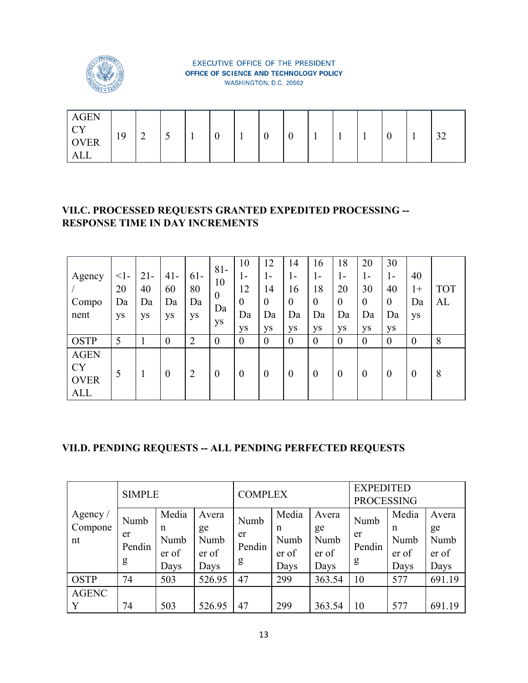

|  | <b>AGEN</b><br>$\bigcap$<br>◡ェ<br><b>OVER</b><br><b>ALL</b> | 19 | $\sim$<br>∽ | ب |  | $\sim$<br>ν |  | v | $\Omega$<br>ν |  | <b>I</b> |  | ν |  | $\Omega$<br>ے ر |
|--|-------------------------------------------------------------|----|-------------|---|--|-------------|--|---|---------------|--|----------|--|---|--|-----------------|
|--|-------------------------------------------------------------|----|-------------|---|--|-------------|--|---|---------------|--|----------|--|---|--|-----------------|

### **VII.C. PROCESSED REQUESTS GRANTED EXPEDITED PROCESSING -- RESPONSE TIME IN DAY INCREMENTS**

| Agency<br>Compo<br>nent                               | $\leq$ 1-<br>20<br>Da<br>ys | $21-$<br>40<br>Da<br>ys | $41 -$<br>60<br>Da<br>ys | $61 -$<br>80<br>Da<br>ys | $81 -$<br>10<br>$\boldsymbol{0}$<br>Da<br>ys | 10<br>$1 -$<br>12<br>$\theta$<br>Da<br>ys | 12<br>I-<br>14<br>$\boldsymbol{0}$<br>Da<br>ys | 14<br>$1 -$<br>16<br>$\boldsymbol{0}$<br>Da<br>ys | 16<br>ı –<br>18<br>$\theta$<br>Da<br>ys | 18<br>1-<br>20<br>$\boldsymbol{0}$<br>Da<br>ys | 20<br>1-<br>30<br>$\overline{0}$<br>Da<br>ys | 30<br>$\mathbf{I}$ –<br>40<br>$\boldsymbol{0}$<br>Da<br>ys | 40<br>$1+$<br>Da<br>ys | <b>TOT</b><br>AL |
|-------------------------------------------------------|-----------------------------|-------------------------|--------------------------|--------------------------|----------------------------------------------|-------------------------------------------|------------------------------------------------|---------------------------------------------------|-----------------------------------------|------------------------------------------------|----------------------------------------------|------------------------------------------------------------|------------------------|------------------|
| <b>OSTP</b>                                           | 5                           |                         | $\theta$                 | $\overline{2}$           | $\boldsymbol{0}$                             | $\theta$                                  | $\overline{0}$                                 | $\theta$                                          | $\overline{0}$                          | $\overline{0}$                                 | $\overline{0}$                               | $\theta$                                                   | $\theta$               | 8                |
| <b>AGEN</b><br><b>CY</b><br><b>OVER</b><br><b>ALL</b> | 5                           |                         | $\theta$                 | $\overline{2}$           | $\boldsymbol{0}$                             | $\overline{0}$                            | $\overline{0}$                                 | $\boldsymbol{0}$                                  | $\theta$                                | $\boldsymbol{0}$                               | $\overline{0}$                               | $\overline{0}$                                             | $\theta$               | 8                |

# **VII.D. PENDING REQUESTS -- ALL PENDING PERFECTED REQUESTS**

|                           | <b>SIMPLE</b>             |                                     |                                      | <b>COMPLEX</b>            |                                               |                                      | <b>EXPEDITED</b><br><b>PROCESSING</b> |                                     |                                      |
|---------------------------|---------------------------|-------------------------------------|--------------------------------------|---------------------------|-----------------------------------------------|--------------------------------------|---------------------------------------|-------------------------------------|--------------------------------------|
| Agency /<br>Compone<br>nt | Numb<br>er<br>Pendin<br>g | Media<br>n<br>Numb<br>er of<br>Days | Avera<br>ge<br>Numb<br>er of<br>Days | Numb<br>er<br>Pendin<br>g | Media<br>$\mathbf n$<br>Numb<br>er of<br>Days | Avera<br>ge<br>Numb<br>er of<br>Days | Numb<br>er<br>Pendin<br>g             | Media<br>n<br>Numb<br>er of<br>Days | Avera<br>ge<br>Numb<br>er of<br>Days |
| <b>OSTP</b>               | 74                        | 503                                 | 526.95                               | 47                        | 299                                           | 363.54                               | 10                                    | 577                                 | 691.19                               |
| <b>AGENC</b><br>Y         | 74                        | 503                                 | 526.95                               | 47                        | 299                                           | 363.54                               | 10                                    | 577                                 | 691.19                               |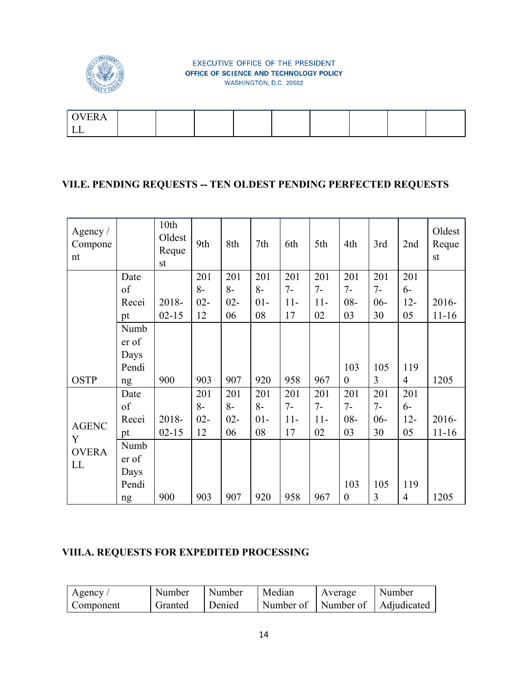

#### **VII.E. PENDING REQUESTS -- TEN OLDEST PENDING PERFECTED REQUESTS**

| Agency $/$<br>Compone<br>nt |       | 10th<br>Oldest<br>Reque<br>st | 9th    | 8th    | 7th    | 6th   | 5th   | 4th              | 3rd            | 2nd            | Oldest<br>Reque<br>st |
|-----------------------------|-------|-------------------------------|--------|--------|--------|-------|-------|------------------|----------------|----------------|-----------------------|
|                             | Date  |                               | 201    | 201    | 201    | 201   | 201   | 201              | 201            | 201            |                       |
|                             | of    |                               | $8-$   | $8-$   | $8-$   | $7 -$ | $7 -$ | $7 -$            | $7-$           | $6-$           |                       |
|                             | Recei | 2018-                         | $02 -$ | $02 -$ | $01 -$ | $11-$ | $11-$ | $08 -$           | $06 -$         | $12 -$         | 2016-                 |
|                             | pt    | $02 - 15$                     | 12     | 06     | 08     | 17    | 02    | 03               | 30             | 05             | $11 - 16$             |
|                             | Numb  |                               |        |        |        |       |       |                  |                |                |                       |
|                             | er of |                               |        |        |        |       |       |                  |                |                |                       |
|                             | Days  |                               |        |        |        |       |       |                  |                |                |                       |
|                             | Pendi |                               |        |        |        |       |       | 103              | 105            | 119            |                       |
| <b>OSTP</b>                 | ng    | 900                           | 903    | 907    | 920    | 958   | 967   | $\boldsymbol{0}$ | $\overline{3}$ | $\overline{4}$ | 1205                  |
|                             | Date  |                               | 201    | 201    | 201    | 201   | 201   | 201              | 201            | 201            |                       |
|                             | of    |                               | $8-$   | $8-$   | $8-$   | $7-$  | $7-$  | $7 -$            | $7-$           | $6-$           |                       |
|                             | Recei | 2018-                         | $02 -$ | $02 -$ | $01 -$ | $11-$ | $11-$ | $08 -$           | $06 -$         | $12 -$         | 2016-                 |
| <b>AGENC</b><br>Y           | pt    | $02 - 15$                     | 12     | 06     | 08     | 17    | 02    | 03               | 30             | 05             | $11 - 16$             |
| <b>OVERA</b>                | Numb  |                               |        |        |        |       |       |                  |                |                |                       |
| LL                          | er of |                               |        |        |        |       |       |                  |                |                |                       |
|                             | Days  |                               |        |        |        |       |       |                  |                |                |                       |
|                             | Pendi |                               |        |        |        |       |       | 103              | 105            | 119            |                       |
|                             | ng    | 900                           | 903    | 907    | 920    | 958   | 967   | $\boldsymbol{0}$ | 3              | $\overline{4}$ | 1205                  |

# **VIII.A. REQUESTS FOR EXPEDITED PROCESSING**

| Agency    | Number  | Number | Median                          | Average | Number |
|-----------|---------|--------|---------------------------------|---------|--------|
| Component | Granted | Denied | Number of Number of Adjudicated |         |        |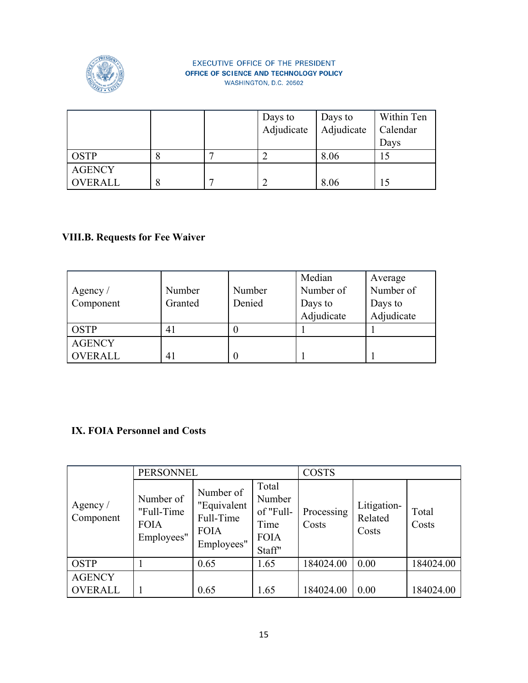

|               |   | Days to    | Days to    | Within Ten |
|---------------|---|------------|------------|------------|
|               |   | Adjudicate | Adjudicate | Calendar   |
|               |   |            |            | Days       |
| <b>OSTP</b>   | Ō |            | 8.06       |            |
| <b>AGENCY</b> |   |            |            |            |
| OVERALL       | 8 |            | 8.06       |            |

# **VIII.B. Requests for Fee Waiver**

| Agency $/$<br>Component | Number<br>Granted | Number<br>Denied | Median<br>Number of<br>Days to | Average<br>Number of<br>Days to |
|-------------------------|-------------------|------------------|--------------------------------|---------------------------------|
|                         |                   |                  | Adjudicate                     | Adjudicate                      |
| <b>OSTP</b>             | 41                | υ                |                                |                                 |
| <b>AGENCY</b>           |                   |                  |                                |                                 |
| <b>OVERALL</b>          | 41                | 0                |                                |                                 |

# **IX. FOIA Personnel and Costs**

|                       | <b>PERSONNEL</b>                                     |                                                                    |                                                               | <b>COSTS</b>        |                                 |                |
|-----------------------|------------------------------------------------------|--------------------------------------------------------------------|---------------------------------------------------------------|---------------------|---------------------------------|----------------|
| Agency /<br>Component | Number of<br>"Full-Time<br><b>FOIA</b><br>Employees" | Number of<br>"Equivalent<br>Full-Time<br><b>FOIA</b><br>Employees" | Total<br>Number<br>of "Full-<br>Time<br><b>FOIA</b><br>Staff" | Processing<br>Costs | Litigation-<br>Related<br>Costs | Total<br>Costs |
| <b>OSTP</b>           |                                                      | 0.65                                                               | 1.65                                                          | 184024.00           | 0.00                            | 184024.00      |
| <b>AGENCY</b>         |                                                      |                                                                    |                                                               |                     |                                 |                |
| OVERALL               |                                                      | 0.65                                                               | 1.65                                                          | 184024.00           | 0.00                            | 184024.00      |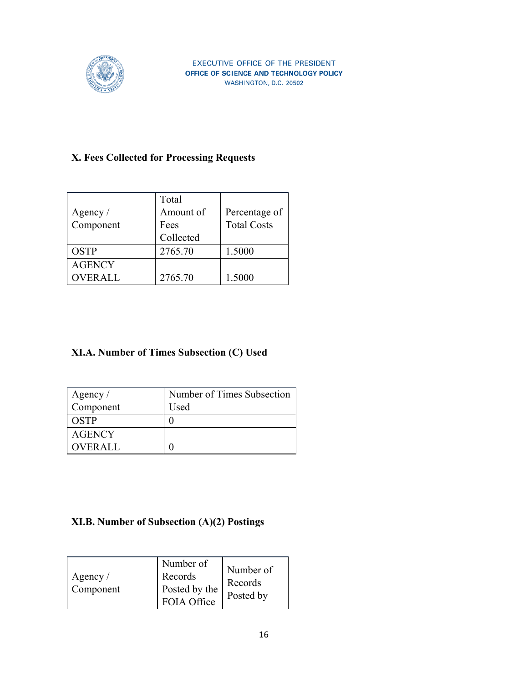

# **X. Fees Collected for Processing Requests**

|               | Total     |                    |
|---------------|-----------|--------------------|
| Agency $/$    | Amount of | Percentage of      |
| Component     | Fees      | <b>Total Costs</b> |
|               | Collected |                    |
| <b>OSTP</b>   | 2765.70   | 1.5000             |
| <b>AGENCY</b> |           |                    |
| OVER ALL      | 2765.70   | 1.5000             |

# **XI.A. Number of Times Subsection (C) Used**

| Agency /  | Number of Times Subsection |
|-----------|----------------------------|
| Component | Used                       |
| OSTP      |                            |
| AGENCY    |                            |
| OVERALL   |                            |

# **XI.B. Number of Subsection (A)(2) Postings**

| Agency $\sqrt{ }$<br>Component | Number of<br>Records<br>Posted by the<br>FOIA Office | Number of<br>Records<br>Posted by |
|--------------------------------|------------------------------------------------------|-----------------------------------|
|--------------------------------|------------------------------------------------------|-----------------------------------|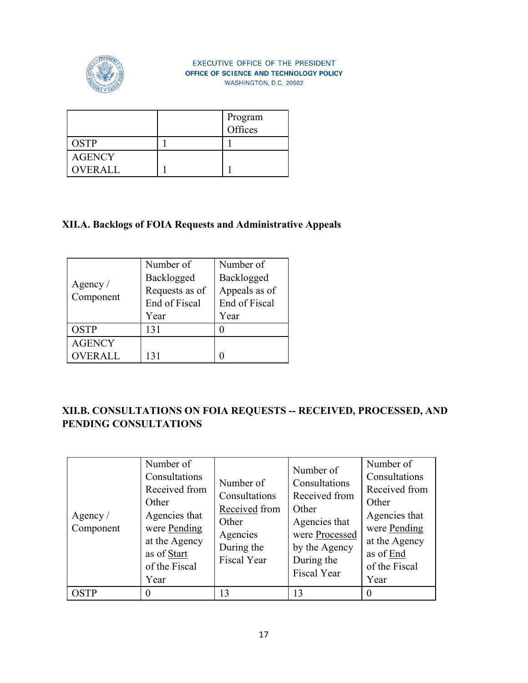

|                | Program<br>Offices |
|----------------|--------------------|
| <b>OSTP</b>    |                    |
| <b>AGENCY</b>  |                    |
| <b>OVERALL</b> |                    |

### **XII.A. Backlogs of FOIA Requests and Administrative Appeals**

|                         | Number of      | Number of     |
|-------------------------|----------------|---------------|
|                         | Backlogged     | Backlogged    |
| Agency $/$<br>Component | Requests as of | Appeals as of |
|                         | End of Fiscal  | End of Fiscal |
|                         | Year           | Year          |
| <b>OSTP</b>             | 131            |               |
| <b>AGENCY</b>           |                |               |
| OVERALL                 |                |               |

# **XII.B. CONSULTATIONS ON FOIA REQUESTS -- RECEIVED, PROCESSED, AND PENDING CONSULTATIONS**

| Agency $/$<br>Component | Number of<br>Consultations<br>Received from<br>Other<br>Agencies that<br>were Pending<br>at the Agency<br>as of Start<br>of the Fiscal<br>Year | Number of<br>Consultations<br>Received from<br>Other<br>Agencies<br>During the<br>Fiscal Year | Number of<br>Consultations<br>Received from<br>Other<br>Agencies that<br>were Processed<br>by the Agency<br>During the<br><b>Fiscal Year</b> | Number of<br>Consultations<br>Received from<br>Other<br>Agencies that<br>were Pending<br>at the Agency<br>as of End<br>of the Fiscal<br>Year |
|-------------------------|------------------------------------------------------------------------------------------------------------------------------------------------|-----------------------------------------------------------------------------------------------|----------------------------------------------------------------------------------------------------------------------------------------------|----------------------------------------------------------------------------------------------------------------------------------------------|
| <b>OSTP</b>             | 0                                                                                                                                              | 13                                                                                            | 13                                                                                                                                           |                                                                                                                                              |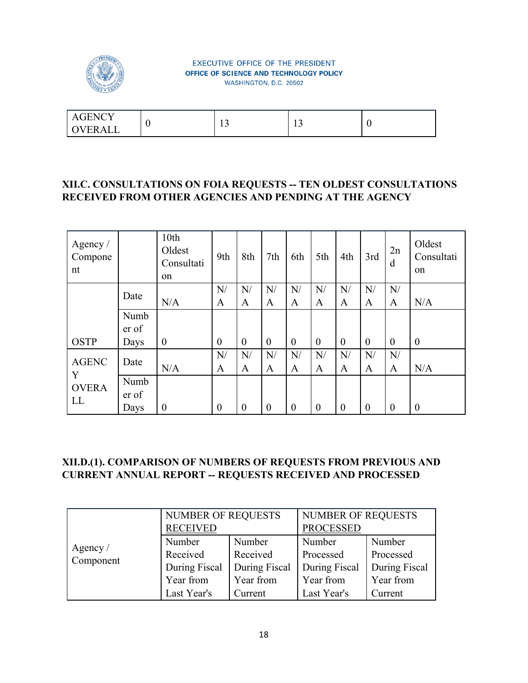

| $\cdot$ iency<br>A ( | $\sim$ |  |
|----------------------|--------|--|
| <b>OVERAL</b>        |        |  |

#### **XII.C. CONSULTATIONS ON FOIA REQUESTS -- TEN OLDEST CONSULTATIONS RECEIVED FROM OTHER AGENCIES AND PENDING AT THE AGENCY**

| Agency $/$<br>Compone<br>nt |                       | 10th<br>Oldest<br>Consultati<br>on | 9th              | 8th            | 7th            | 6th            | 5th            | 4th            | 3rd              | 2n<br>d        | Oldest<br>Consultati<br>on |
|-----------------------------|-----------------------|------------------------------------|------------------|----------------|----------------|----------------|----------------|----------------|------------------|----------------|----------------------------|
|                             | Date                  |                                    | N/               | N/             | N/             | N/             | N/             | N/             | N/               | N/             |                            |
|                             |                       | N/A                                | A                | A              | A              | A              | A              | A              | A                | A              | N/A                        |
|                             | Numb<br>er of         |                                    |                  |                |                |                |                |                |                  |                |                            |
| <b>OSTP</b>                 | Days                  | $\boldsymbol{0}$                   | $\boldsymbol{0}$ | $\theta$       | $\overline{0}$ | $\theta$       | $\overline{0}$ | $\overline{0}$ | $\boldsymbol{0}$ | $\overline{0}$ | $\boldsymbol{0}$           |
| <b>AGENC</b>                | Date                  |                                    | N/               | N/             | N/             | N/             | N/             | N/             | N/               | N/             |                            |
| Y                           |                       | N/A                                | A                | $\mathbf{A}$   | A              | A              | A              | A              | A                | A              | N/A                        |
| <b>OVERA</b><br>LL          | Numb<br>er of<br>Days | $\boldsymbol{0}$                   | $\boldsymbol{0}$ | $\overline{0}$ | $\theta$       | $\overline{0}$ | $\theta$       | $\overline{0}$ | $\boldsymbol{0}$ | $\theta$       | $\theta$                   |

### **XII.D.(1). COMPARISON OF NUMBERS OF REQUESTS FROM PREVIOUS AND CURRENT ANNUAL REPORT -- REQUESTS RECEIVED AND PROCESSED**

|            | <b>NUMBER OF REQUESTS</b> |               | NUMBER OF REQUESTS |               |  |
|------------|---------------------------|---------------|--------------------|---------------|--|
|            | <b>RECEIVED</b>           |               | <b>PROCESSED</b>   |               |  |
| Agency $/$ | Number                    | Number        | Number             | Number        |  |
| Component  | Received<br>Received      |               | Processed          | Processed     |  |
|            | During Fiscal             | During Fiscal | During Fiscal      | During Fiscal |  |
|            | Year from                 | Year from     | Year from          | Year from     |  |
|            | Last Year's               | Current       | Last Year's        | Current       |  |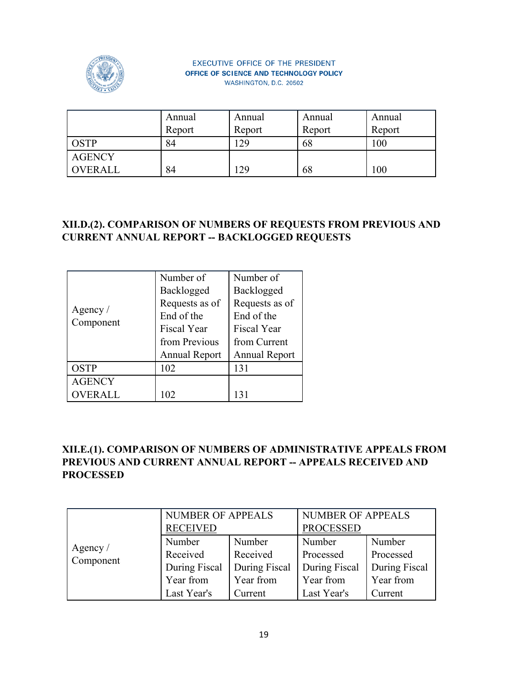

|               | Annual | Annual | Annual | Annual |
|---------------|--------|--------|--------|--------|
|               | Report | Report | Report | Report |
| OSTP          | 84     | .29    | 68     | 00     |
| <b>AGENCY</b> |        |        |        |        |
| OVERALL       | 84     | 29     | 68     | 00     |

# **XII.D.(2). COMPARISON OF NUMBERS OF REQUESTS FROM PREVIOUS AND CURRENT ANNUAL REPORT -- BACKLOGGED REQUESTS**

|                         | Number of            | Number of            |  |
|-------------------------|----------------------|----------------------|--|
|                         | Backlogged           | Backlogged           |  |
|                         | Requests as of       | Requests as of       |  |
| Agency $/$<br>Component | End of the           | End of the           |  |
|                         | <b>Fiscal Year</b>   | <b>Fiscal Year</b>   |  |
|                         | from Previous        | from Current         |  |
|                         | <b>Annual Report</b> | <b>Annual Report</b> |  |
| <b>OSTP</b>             | 102                  | 131                  |  |
| <b>AGENCY</b>           |                      |                      |  |
| <b>OVERALL</b>          |                      |                      |  |

# **XII.E.(1). COMPARISON OF NUMBERS OF ADMINISTRATIVE APPEALS FROM PREVIOUS AND CURRENT ANNUAL REPORT -- APPEALS RECEIVED AND PROCESSED**

|            | <b>NUMBER OF APPEALS</b> |               | <b>NUMBER OF APPEALS</b> |               |  |
|------------|--------------------------|---------------|--------------------------|---------------|--|
|            | <b>RECEIVED</b>          |               | <b>PROCESSED</b>         |               |  |
| Agency $/$ | Number                   | Number        | Number                   | Number        |  |
| Component  | Received                 | Received      |                          | Processed     |  |
|            | During Fiscal            | During Fiscal | During Fiscal            | During Fiscal |  |
|            | Year from                | Year from     | Year from                | Year from     |  |
|            | Last Year's              | Current       | Last Year's              | Current       |  |